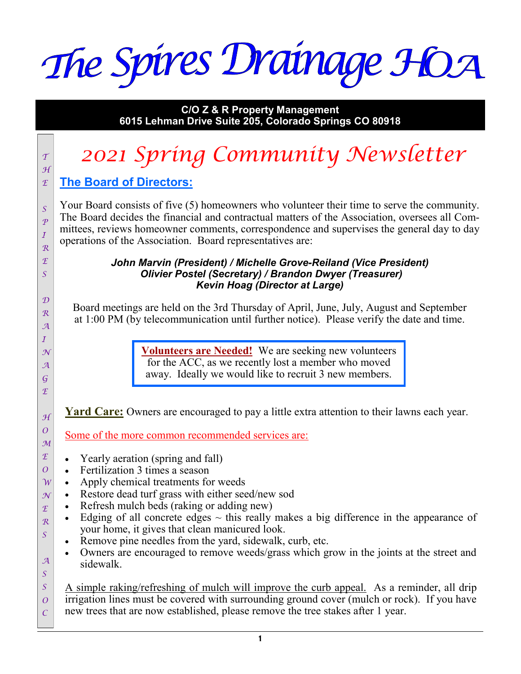The Spires Drainage HOA

**C/O Z & R Property Management 6015 Lehman Drive Suite 205, Colorado Springs CO 80918**

# *<sup>T</sup> 2021 Spring Community Newsletter*

#### **The Board of Directors:** *E*

*H*

*S P I R E S* 

*D R A I N A G E*

*H O M E O W N E R S* 

*A S*

Your Board consists of five (5) homeowners who volunteer their time to serve the community. The Board decides the financial and contractual matters of the Association, oversees all Committees, reviews homeowner comments, correspondence and supervises the general day to day operations of the Association. Board representatives are:

#### *John Marvin (President) / Michelle Grove-Reiland (Vice President) Olivier Postel (Secretary) / Brandon Dwyer (Treasurer) Kevin Hoag (Director at Large)*

Board meetings are held on the 3rd Thursday of April, June, July, August and September at 1:00 PM (by telecommunication until further notice). Please verify the date and time.

> **Volunteers are Needed!** We are seeking new volunteers for the ACC, as we recently lost a member who moved away. Ideally we would like to recruit 3 new members.

**Yard Care:** Owners are encouraged to pay a little extra attention to their lawns each year.

Some of the more common recommended services are:

- Yearly aeration (spring and fall)
- Fertilization 3 times a season
- Apply chemical treatments for weeds
- Restore dead turf grass with either seed/new sod
- Refresh mulch beds (raking or adding new)
- Edging of all concrete edges  $\sim$  this really makes a big difference in the appearance of your home, it gives that clean manicured look.
- Remove pine needles from the yard, sidewalk, curb, etc.
- Owners are encouraged to remove weeds/grass which grow in the joints at the street and sidewalk.

*S O C* A simple raking/refreshing of mulch will improve the curb appeal. As a reminder, all drip irrigation lines must be covered with surrounding ground cover (mulch or rock). If you have new trees that are now established, please remove the tree stakes after 1 year.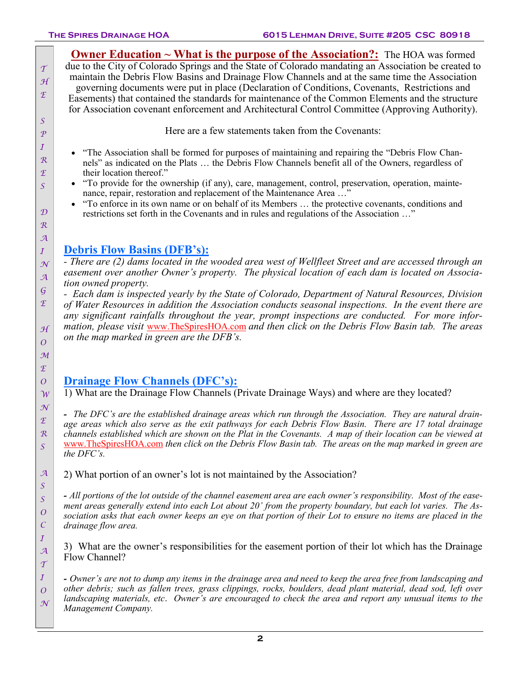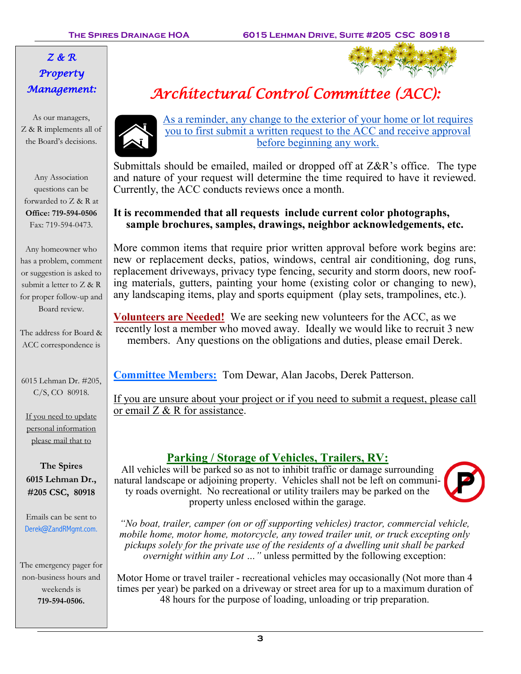# *Z & R Property Management:*

As our managers, Z & R implements all of the Board's decisions.

Any Association questions can be forwarded to Z & R at **Office: 719-594-0506** Fax: 719-594-0473.

Any homeowner who has a problem, comment or suggestion is asked to submit a letter to Z & R for proper follow-up and Board review.

The address for Board & ACC correspondence is

6015 Lehman Dr. #205, C/S, CO 80918.

If you need to update personal information please mail that to

**The Spires 6015 Lehman Dr., #205 CSC, 80918**

Emails can be sent to Derek@ZandRMgmt.com.

The emergency pager for non-business hours and weekends is **719-594-0506.** 



As a reminder, any change to the exterior of your home or lot requires you to first submit a written request to the ACC and receive approval before beginning any work.

Submittals should be emailed, mailed or dropped off at Z&R's office. The type and nature of your request will determine the time required to have it reviewed. Currently, the ACC conducts reviews once a month.

### **It is recommended that all requests include current color photographs, sample brochures, samples, drawings, neighbor acknowledgements, etc.**

More common items that require prior written approval before work begins are: new or replacement decks, patios, windows, central air conditioning, dog runs, replacement driveways, privacy type fencing, security and storm doors, new roofing materials, gutters, painting your home (existing color or changing to new), any landscaping items, play and sports equipment (play sets, trampolines, etc.).

**Volunteers are Needed!** We are seeking new volunteers for the ACC, as we recently lost a member who moved away. Ideally we would like to recruit 3 new members. Any questions on the obligations and duties, please email Derek.

**Committee Members:** Tom Dewar, Alan Jacobs, Derek Patterson.

If you are unsure about your project or if you need to submit a request, please call or email  $Z \& R$  for assistance.

# **Parking / Storage of Vehicles, Trailers, RV:**

All vehicles will be parked so as not to inhibit traffic or damage surrounding natural landscape or adjoining property. Vehicles shall not be left on community roads overnight. No recreational or utility trailers may be parked on the property unless enclosed within the garage.



*"No boat, trailer, camper (on or off supporting vehicles) tractor, commercial vehicle, mobile home, motor home, motorcycle, any towed trailer unit, or truck excepting only pickups solely for the private use of the residents of a dwelling unit shall be parked overnight within any Lot …"* unless permitted by the following exception:

Motor Home or travel trailer - recreational vehicles may occasionally (Not more than 4 times per year) be parked on a driveway or street area for up to a maximum duration of 48 hours for the purpose of loading, unloading or trip preparation.